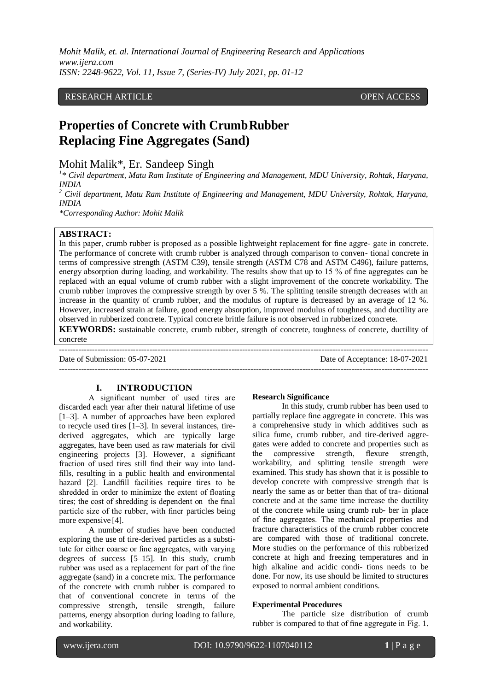# RESEARCH ARTICLE **CONTRACT ARTICLE**

# **Properties of Concrete with CrumbRubber Replacing Fine Aggregates (Sand)**

Mohit Malik\*, Er. Sandeep Singh

<sup>1</sup>\* Civil department, Matu Ram Institute of Engineering and Management, MDU University, Rohtak, Haryana, *INDIA*

*<sup>2</sup> Civil department, Matu Ram Institute of Engineering and Management, MDU University, Rohtak, Haryana, INDIA*

*\*Corresponding Author: Mohit Malik*

## **ABSTRACT:**

In this paper, crumb rubber is proposed as a possible lightweight replacement for fine aggre- gate in concrete. The performance of concrete with crumb rubber is analyzed through comparison to conven- tional concrete in terms of compressive strength (ASTM [C39\)](http://www.astm.org/Standards/C39), tensile strength (ASTM [C78](http://www.astm.org/Standards/C78) and ASTM [C496\)](http://www.astm.org/Standards/C496), failure patterns, energy absorption during loading, and workability. The results show that up to 15 % of fine aggregates can be replaced with an equal volume of crumb rubber with a slight improvement of the concrete workability. The crumb rubber improves the compressive strength by over 5 %. The splitting tensile strength decreases with an increase in the quantity of crumb rubber, and the modulus of rupture is decreased by an average of 12 %. However, increased strain at failure, good energy absorption, improved modulus of toughness, and ductility are observed in rubberized concrete. Typical concrete brittle failure is not observed in rubberized concrete.

**KEYWORDS:** sustainable concrete, crumb rubber, strength of concrete, toughness of concrete, ductility of concrete

---------------------------------------------------------------------------------------------------------------------------------------

---------------------------------------------------------------------------------------------------------------------------------------

Date of Submission: 05-07-2021 Date of Acceptance: 18-07-2021

# **I. INTRODUCTION**

A significant number of used tires are discarded each year after their natural lifetime of use [\[1–3\]](#page-11-0). A number of approaches have been explored to recycle used tires [\[1–3\]](#page-11-0). In several instances, tirederived aggregates, which are typically large aggregates, have been used as raw materials for civil engineering projects [\[3\]](#page-11-0). However, a significant fraction of used tires still find their way into landfills, resulting in a public health and environmental hazard [\[2\]](#page-11-0). Landfill facilities require tires to be shredded in order to minimize the extent of floating tires; the cost of shredding is dependent on the final particle size of the rubber, with finer particles being more expensive [\[4\]](#page-11-0).

A number of studies have been conducted exploring the use of tire-derived particles as a substitute for either coarse or fine aggregates, with varying degrees of success [\[5–](#page-11-0)[15\]](#page-11-1). In this study, crumb rubber was used as a replacement for part of the fine aggregate (sand) in a concrete mix. The performance of the concrete with crumb rubber is compared to that of conventional concrete in terms of the compressive strength, tensile strength, failure patterns, energy absorption during loading to failure, and workability.

#### **Research Significance**

In this study, crumb rubber has been used to partially replace fine aggregate in concrete. This was a comprehensive study in which additives such as silica fume, crumb rubber, and tire-derived aggregates were added to concrete and properties such as the compressive strength, flexure strength, workability, and splitting tensile strength were examined. This study has shown that it is possible to develop concrete with compressive strength that is nearly the same as or better than that of tra- ditional concrete and at the same time increase the ductility of the concrete while using crumb rub- ber in place of fine aggregates. The mechanical properties and fracture characteristics of the crumb rubber concrete are compared with those of traditional concrete. More studies on the performance of this rubberized concrete at high and freezing temperatures and in high alkaline and acidic condi- tions needs to be done. For now, its use should be limited to structures exposed to normal ambient conditions.

#### **Experimental Procedures**

The particle size distribution of crumb rubber is compared to that of fine aggregate in Fig[. 1.](#page-1-0)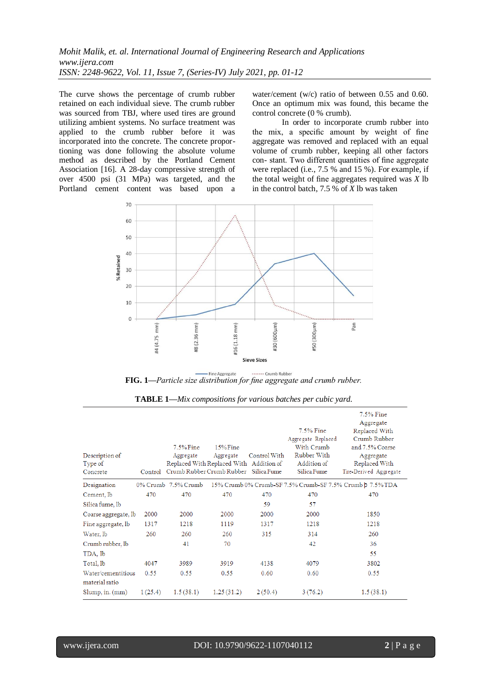The curve shows the percentage of crumb rubber retained on each individual sieve. The crumb rubber was sourced from TBJ, where used tires are ground utilizing ambient systems. No surface treatment was applied to the crumb rubber before it was incorporated into the concrete. The concrete proportioning was done following the absolute volume method as described by the Portland Cement Association [\[16\]](#page-11-2). A 28-day compressive strength of over 4500 psi (31 MPa) was targeted, and the Portland cement content was based upon a

water/cement (w/c) ratio of between 0.55 and 0.60. Once an optimum mix was found, this became the control concrete (0 % crumb).

<span id="page-1-0"></span>In order to incorporate crumb rubber into the mix, a specific amount by weight of fine aggregate was removed and replaced with an equal volume of crumb rubber, keeping all other factors con- stant. Two different quantities of fine aggregate were replaced (i.e., 7.5 % and 15 %). For example, if the total weight of fine aggregates required was *X* lb in the control batch, 7.5 % of *X* lb was taken



FIG. 1—*Particle size distribution for fine aggregate and crumb rubber.* 

<span id="page-1-1"></span>

| Description of<br>Type of<br>Concrete |         | $7.5\%$ Fine<br>Aggregate<br>Replaced With Replaced With Addition of<br>Control Crumb Rubber Crumb Rubber Silica Fume | $15\%$ Fine<br>Aggregate | Control With | 7.5% Fine<br>Aggregate Replaced<br>With Crumb<br>Rubber With<br>Addition of<br>Silica Fume | 7.5% Fine<br>Aggregate<br>Replaced With<br>Crumb Rubber<br>and 7.5% Coarse<br>Aggregate<br>Replaced With<br>Tire-Derived Aggregate |
|---------------------------------------|---------|-----------------------------------------------------------------------------------------------------------------------|--------------------------|--------------|--------------------------------------------------------------------------------------------|------------------------------------------------------------------------------------------------------------------------------------|
| Designation                           |         | $0\%$ Crumb 7.5% Crumb                                                                                                |                          |              |                                                                                            | 15% Crumb 0% Crumb-SF 7.5% Crumb-SF 7.5% Crumb $p$ 7.5% TDA                                                                        |
| Cement, lb                            | 470     | 470                                                                                                                   | 470                      | 470          | 470                                                                                        | 470                                                                                                                                |
| Silica fume, lb                       |         |                                                                                                                       |                          | 59           | 57                                                                                         |                                                                                                                                    |
| Coarse aggregate, lb                  | 2000    | 2000                                                                                                                  | 2000                     | 2000         | 2000                                                                                       | 1850                                                                                                                               |
| Fine aggregate, lb                    | 1317    | 1218                                                                                                                  | 1119                     | 1317         | 1218                                                                                       | 1218                                                                                                                               |
| Water, lb                             | 260     | 260                                                                                                                   | 260                      | 315          | 314                                                                                        | 260                                                                                                                                |
| Crumb rubber, lb                      |         | 41                                                                                                                    | 70                       |              | 42                                                                                         | 36                                                                                                                                 |
| TDA, lb                               |         |                                                                                                                       |                          |              |                                                                                            | 55                                                                                                                                 |
| Total, lb                             | 4047    | 3989                                                                                                                  | 3919                     | 4138         | 4079                                                                                       | 3802                                                                                                                               |
| Water/cementitious<br>material ratio  | 0.55    | 0.55                                                                                                                  | 0.55                     | 0.60         | 0.60                                                                                       | 0.55                                                                                                                               |
| $Slump, in.$ $(mm)$                   | 1(25.4) | 1.5(38.1)                                                                                                             | 1.25(31.2)               | 2(50.4)      | 3(76.2)                                                                                    | 1.5(38.1)                                                                                                                          |

**TABLE 1—***Mix compositions for various batches per cubic yard.*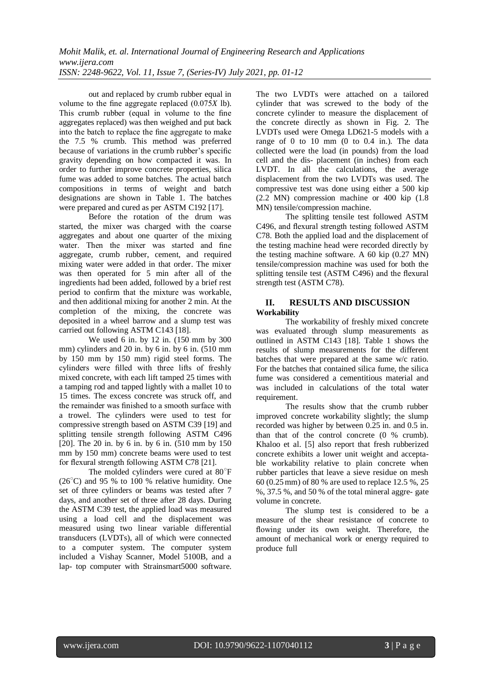out and replaced by crumb rubber equal in volume to the fine aggregate replaced (0.075*X* lb). This crumb rubber (equal in volume to the fine aggregates replaced) was then weighed and put back into the batch to replace the fine aggregate to make the 7.5 % crumb. This method was preferred because of variations in the crumb rubber's specific gravity depending on how compacted it was. In order to further improve concrete properties, silica fume was added to some batches. The actual batch compositions in terms of weight and batch designations are shown in Table [1.](#page-1-1) The batches were prepared and cured as per AST[M C192](http://www.astm.org/Standards/C192) [\[17\]](#page-11-3).

Before the rotation of the drum was started, the mixer was charged with the coarse aggregates and about one quarter of the mixing water. Then the mixer was started and fine aggregate, crumb rubber, cement, and required mixing water were added in that order. The mixer was then operated for 5 min after all of the ingredients had been added, followed by a brief rest period to confirm that the mixture was workable, and then additional mixing for another 2 min. At the completion of the mixing, the concrete was deposited in a wheel barrow and a slump test was carried out following ASTM [C143](http://www.astm.org/Standards/C143) [\[18\]](#page-11-4).

We used 6 in. by 12 in. (150 mm by 300 mm) cylinders and 20 in. by 6 in. by 6 in. (510 mm) by 150 mm by 150 mm) rigid steel forms. The cylinders were filled with three lifts of freshly mixed concrete, with each lift tamped 25 times with a tamping rod and tapped lightly with a mallet 10 to 15 times. The excess concrete was struck off, and the remainder was finished to a smooth surface with a trowel. The cylinders were used to test for compressive strength based on AST[M C39](http://www.astm.org/Standards/C39) [\[19\]](#page-11-5) and splitting tensile strength following ASTM [C496](http://www.astm.org/Standards/C496)  [20]. The 20 in. by 6 in. by 6 in. (510 mm by 150 mm by 150 mm) concrete beams were used to test for flexural strength following AST[M C78](http://www.astm.org/Standards/C78) [21].

The molded cylinders were cured at 80°F  $(26^{\circ}$ C) and 95 % to 100 % relative humidity. One set of three cylinders or beams was tested after 7 days, and another set of three after 28 days. During the ASTM [C39](http://www.astm.org/Standards/C39) test, the applied load was measured using a load cell and the displacement was measured using two linear variable differential transducers (LVDTs), all of which were connected to a computer system. The computer system included a Vishay Scanner, Model 5100B, and a lap- top computer with Strainsmart5000 software.

The two LVDTs were attached on a tailored cylinder that was screwed to the body of the concrete cylinder to measure the displacement of the concrete directly as shown in Fig. [2.](#page-2-0) The LVDTs used were Omega LD621-5 models with a range of 0 to 10 mm (0 to 0.4 in.). The data collected were the load (in pounds) from the load cell and the dis- placement (in inches) from each LVDT. In all the calculations, the average displacement from the two LVDTs was used. The compressive test was done using either a 500 kip (2.2 MN) compression machine or 400 kip (1.8 MN) tensile/compression machine.

The splitting tensile test followed ASTM [C496,](http://www.astm.org/Standards/C496) and flexural strength testing followed ASTM [C78.](http://www.astm.org/Standards/C78) Both the applied load and the displacement of the testing machine head were recorded directly by the testing machine software. A 60 kip (0.27 MN) tensile/compression machine was used for both the splitting tensile test (ASTM [C496\)](http://www.astm.org/Standards/C496) and the flexural strength test (AST[M C78\)](http://www.astm.org/Standards/C78).

# **II. RESULTS AND DISCUSSION Workability**

The workability of freshly mixed concrete was evaluated through slump measurements as outlined in ASTM [C143](http://www.astm.org/Standards/C143) [\[18\]](#page-11-4). Table [1 s](#page-1-1)hows the results of slump measurements for the different batches that were prepared at the same w/c ratio. For the batches that contained silica fume, the silica fume was considered a cementitious material and was included in calculations of the total water requirement.

<span id="page-2-0"></span>The results show that the crumb rubber improved concrete workability slightly; the slump recorded was higher by between 0.25 in. and 0.5 in. than that of the control concrete (0 % crumb). Khaloo et al. [\[5\]](#page-11-0) also report that fresh rubberized concrete exhibits a lower unit weight and acceptable workability relative to plain concrete when rubber particles that leave a sieve residue on mesh 60 (0.25mm) of 80 % are used to replace 12.5 %, 25 %, 37.5 %, and 50 % of the total mineral aggre- gate volume in concrete.

The slump test is considered to be a measure of the shear resistance of concrete to flowing under its own weight. Therefore, the amount of mechanical work or energy required to produce full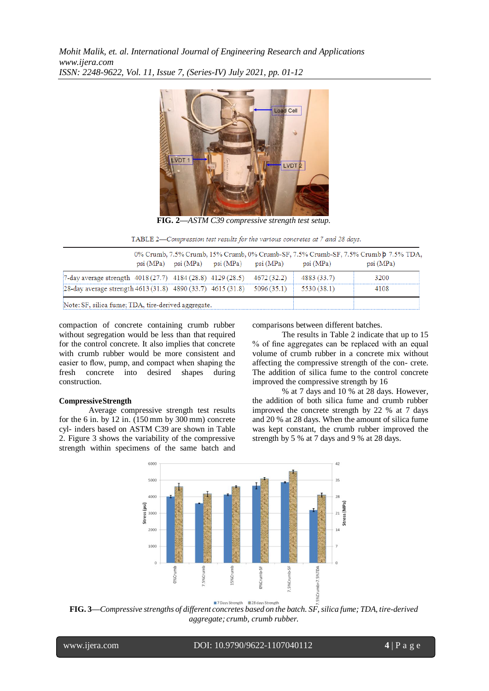

**FIG. 2—***ASTM C39 compressive strength test setup.*

TABLE 2-Compression test results for the various concretes at 7 and 28 days.

|                                                                                      |  | $psi(MPa)$ psi (MPa) psi (MPa) psi (MPa) | psi (MPa)   | 0% Crumb, 7.5% Crumb, 15% Crumb, 0% Crumb-SF, 7.5% Crumb-SF, 7.5% Crumb p 7.5% TDA,<br>psi(MPa) |
|--------------------------------------------------------------------------------------|--|------------------------------------------|-------------|-------------------------------------------------------------------------------------------------|
| 7-day average strength 4018 (27.7) 4184 (28.8) 4129 (28.5) 4672 (32.2)               |  |                                          | 4883 (33.7) | 3200                                                                                            |
| [28-day average strength 4613 (31.8) 4890 (33.7) 4615 (31.8) 5096 (35.1) 5530 (38.1) |  |                                          |             | 4108                                                                                            |
| Note: SF, silica fume; TDA, tire-derived aggregate.                                  |  |                                          |             |                                                                                                 |

compaction of concrete containing crumb rubber without segregation would be less than that required for the control concrete. It also implies that concrete with crumb rubber would be more consistent and easier to flow, pump, and compact when shaping the fresh concrete into desired shapes during construction.

# **CompressiveStrength**

Average compressive strength test results for the 6 in. by 12 in. (150 mm by 300 mm) concrete cyl- inders based on ASTM [C39](http://www.astm.org/Standards/C39) are shown in Table 2. Figure [3](#page-3-0) shows the variability of the compressive strength within specimens of the same batch and comparisons between different batches.

The results in Table 2 indicate that up to 15 % of fine aggregates can be replaced with an equal volume of crumb rubber in a concrete mix without affecting the compressive strength of the con- crete. The addition of silica fume to the control concrete improved the compressive strength by 16

<span id="page-3-0"></span>% at 7 days and 10 % at 28 days. However, the addition of both silica fume and crumb rubber improved the concrete strength by 22 % at 7 days and 20 % at 28 days. When the amount of silica fume was kept constant, the crumb rubber improved the strength by 5 % at 7 days and 9 % at 28 days.



**FIG. 3—***Compressive strengths of different concretes based on the batch. SF,silica fume; TDA, tire-derived aggregate; crumb, crumb rubber.*

l

www.ijera.com DOI: 10.9790/9622-1107040112 **4** | P a g e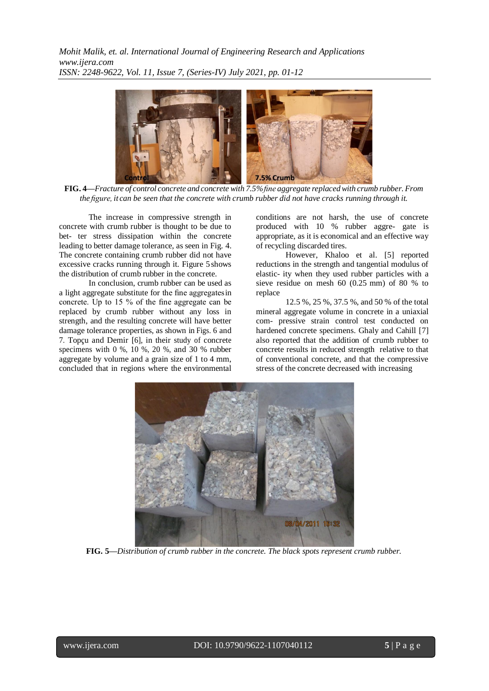

**FIG. 4—***Fracture of control concrete and concrete with 7.5%fine aggregate replacedwith crumb rubber. From* the figure, it can be seen that the concrete with crumb rubber did not have cracks running through it.

<span id="page-4-0"></span>The increase in compressive strength in concrete with crumb rubber is thought to be due to bet- ter stress dissipation within the concrete leading to better damage tolerance, as seen in Fig. [4.](#page-4-0) The concrete containing crumb rubber did not have excessive cracks running through it. Figure [5s](#page-4-1)hows the distribution of crumb rubber in the concrete.

In conclusion, crumb rubber can be used as a light aggregate substitute for the fine aggregatesin concrete. Up to 15 % of the fine aggregate can be replaced by crumb rubber without any loss in strength, and the resulting concrete will have better damage tolerance properties, as shown in Figs. [6](#page-5-0) and [7.](#page-5-1) Topçu and Demir  $[6]$ , in their study of concrete specimens with 0 %, 10 %, 20 %, and 30 % rubber aggregate by volume and a grain size of 1 to 4 mm, concluded that in regions where the environmental

conditions are not harsh, the use of concrete produced with 10 % rubber aggre- gate is appropriate, as it is economical and an effective way of recycling discarded tires.

<span id="page-4-1"></span>However, Khaloo et al. [\[5\]](#page-11-0) reported reductions in the strength and tangential modulus of elastic- ity when they used rubber particles with a sieve residue on mesh 60 (0.25 mm) of 80 % to replace

12.5 %, 25 %, 37.5 %, and 50 % of the total mineral aggregate volume in concrete in a uniaxial com- pressive strain control test conducted on hardened concrete specimens. Ghaly and Cahill [\[7\]](#page-11-0) also reported that the addition of crumb rubber to concrete results in reduced strength relative to that of conventional concrete, and that the compressive stress of the concrete decreased with increasing



**FIG. 5—***Distribution of crumb rubber in the concrete. The black spots represent crumb rubber.*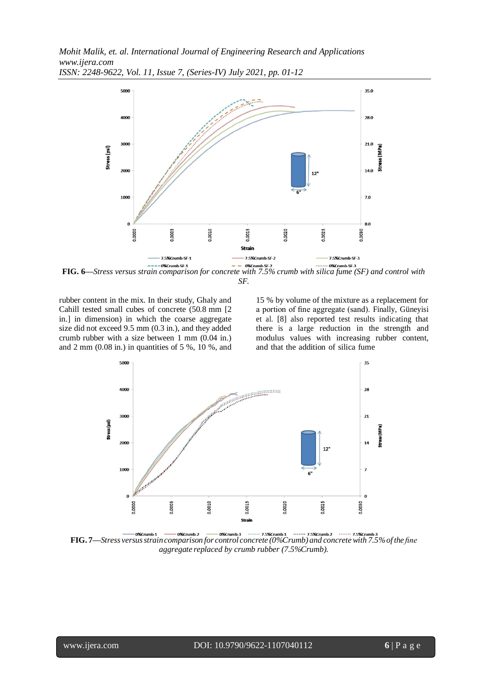

<span id="page-5-0"></span>**FIG. 6**—*Stress versus strain comparison for concrete with 7.5% crumb with silica fume (SF) and control with* **FIG. 6** *SF.*

rubber content in the mix. In their study, Ghaly and Cahill tested small cubes of concrete (50.8 mm [2 in.] in dimension) in which the coarse aggregate size did not exceed 9.5 mm (0.3 in.), and they added crumb rubber with a size between 1 mm (0.04 in.) and  $2 \text{ mm } (0.08 \text{ in.})$  in quantities of  $5\%$ ,  $10\%$ , and <span id="page-5-1"></span>15 % by volume of the mixture as a replacement for a portion of fine aggregate (sand). Finally, Güneyisi et al. [\[8\]](#page-11-0) also reported test results indicating that there is a large reduction in the strength and modulus values with increasing rubber content, and that the addition of silica fume



**FIG. 7—***Stress versusstraincomparison for control concrete (0%Crumb) and concretewith 7.5%of the fine aggregate replaced by crumb rubber (7.5%Crumb).*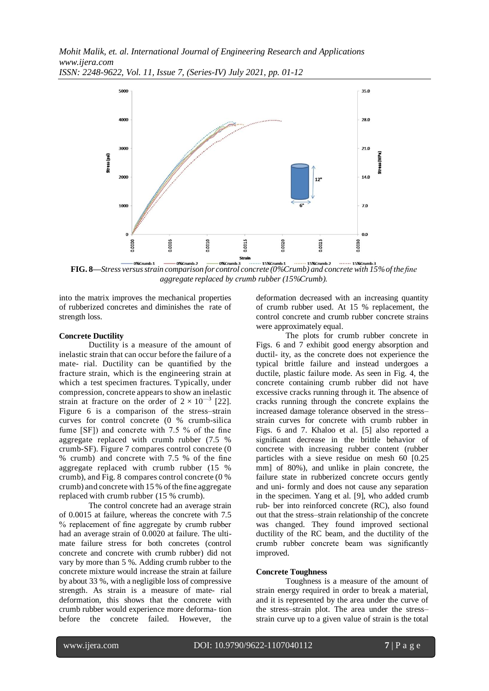

<span id="page-6-0"></span>**FIG. 8—***Stress versusstrain comparison for control concrete (0%Crumb) and concrete with 15%of the fine aggregate replaced by crumb rubber (15%Crumb).*

into the matrix improves the mechanical properties of rubberized concretes and diminishes the rate of strength loss.

### **Concrete Ductility**

Ductility is a measure of the amount of inelastic strain that can occur before the failure of a mate- rial. Ductility can be quantified by the fracture strain, which is the engineering strain at which a test specimen fractures. Typically, under compression, concrete appears to show an inelastic strain at fracture on the order of  $2 \times 10^{-3}$  [22]. Figure [6](#page-5-0) is a comparison of the stress–strain curves for control concrete (0 % crumb-silica fume [SF]) and concrete with 7.5 % of the fine aggregate replaced with crumb rubber (7.5 % crumb-SF). Figure [7](#page-5-1) compares control concrete (0 % crumb) and concrete with 7.5 % of the fine aggregate replaced with crumb rubber (15 % crumb), and Fig. [8](#page-6-0) compares control concrete (0 % crumb) and concrete with 15 % of the fine aggregate replaced with crumb rubber (15 % crumb).

The control concrete had an average strain of 0.0015 at failure, whereas the concrete with 7.5 % replacement of fine aggregate by crumb rubber had an average strain of 0.0020 at failure. The ultimate failure stress for both concretes (control concrete and concrete with crumb rubber) did not vary by more than 5 %. Adding crumb rubber to the concrete mixture would increase the strain at failure by about 33 %, with a negligible loss of compressive strength. As strain is a measure of mate- rial deformation, this shows that the concrete with crumb rubber would experience more deforma- tion before the concrete failed. However, the deformation decreased with an increasing quantity of crumb rubber used. At 15 % replacement, the control concrete and crumb rubber concrete strains were approximately equal.

The plots for crumb rubber concrete in Figs. [6 a](#page-5-0)nd [7 e](#page-5-1)xhibit good energy absorption and ductil- ity, as the concrete does not experience the typical brittle failure and instead undergoes a ductile, plastic failure mode. As seen in Fig. [4,](#page-4-0) the concrete containing crumb rubber did not have excessive cracks running through it. The absence of cracks running through the concrete explains the increased damage tolerance observed in the stress– strain curves for concrete with crumb rubber in Figs. [6](#page-5-0) and [7.](#page-5-1) Khaloo et al. [\[5\]](#page-11-0) also reported a significant decrease in the brittle behavior of concrete with increasing rubber content (rubber particles with a sieve residue on mesh 60 [0.25 mm] of 80%), and unlike in plain concrete, the failure state in rubberized concrete occurs gently and uni- formly and does not cause any separation in the specimen. Yang et al. [\[9\]](#page-11-0), who added crumb rub- ber into reinforced concrete (RC), also found out that the stress–strain relationship of the concrete was changed. They found improved sectional ductility of the RC beam, and the ductility of the crumb rubber concrete beam was significantly improved.

#### **Concrete Toughness**

Toughness is a measure of the amount of strain energy required in order to break a material, and it is represented by the area under the curve of the stress–strain plot. The area under the stress– strain curve up to a given value of strain is the total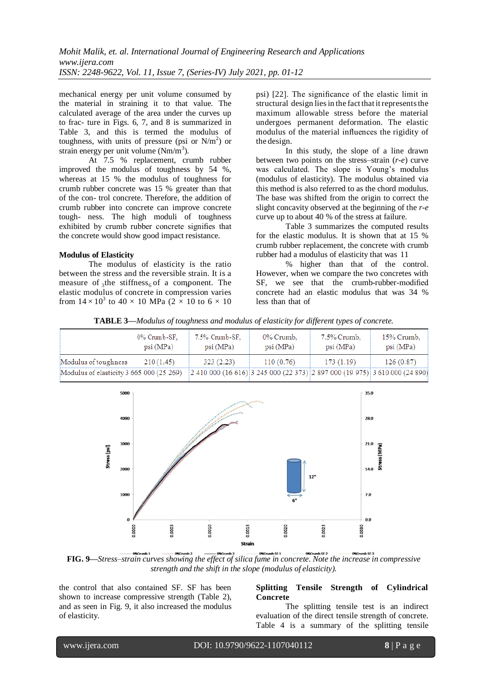mechanical energy per unit volume consumed by the material in straining it to that value. The calculated average of the area under the curves up to frac- ture in Figs. [6,](#page-5-0) [7,](#page-5-1) and [8 i](#page-6-0)s summarized in Table [3,](#page-7-0) and this is termed the modulus of toughness, with units of pressure (psi or  $N/m<sup>2</sup>$ ) or strain energy per unit volume  $(Nm/m<sup>3</sup>)$ .

<span id="page-7-0"></span>At 7.5 % replacement, crumb rubber improved the modulus of toughness by 54 %, whereas at 15 % the modulus of toughness for crumb rubber concrete was 15 % greater than that of the con- trol concrete. Therefore, the addition of crumb rubber into concrete can improve concrete tough- ness. The high moduli of toughness exhibited by crumb rubber concrete signifies that the concrete would show good impact resistance.

# **Modulus of Elasticity**

measure of  $_3$ the stiffness<sub>6</sub> of a component. The The modulus of elasticity is the ratio between the stress and the reversible strain. It is a elastic modulus of concrete in compression varies from  $14 \times 10^3$  to  $40 \times 10$  MPa (2  $\times$  10 to 6  $\times$  10 psi) [22]. The significance of the elastic limit in structural design lies in the fact that it represents the maximum allowable stress before the material undergoes permanent deformation. The elastic modulus of the material influences the rigidity of the design.

In this study, the slope of a line drawn between two points on the stress–strain (*r-e*) curve was calculated. The slope is Young's modulus (modulus of elasticity). The modulus obtained via this method is also referred to as the chord modulus. The base was shifted from the origin to correct the slight concavity observed at the beginning of the *r-e*  curve up to about 40 % of the stress at failure.

Table [3](#page-7-0) summarizes the computed results for the elastic modulus. It is shown that at 15 % crumb rubber replacement, the concrete with crumb rubber had a modulus of elasticity that was 11

% higher than that of the control. However, when we compare the two concretes with SF, we see that the crumb-rubber-modified concrete had an elastic modulus that was 34 % less than that of

**TABLE 3—***Modulus of toughness and modulus of elasticity for different types of concrete.*

|                                                                                                                      | 0% Crumb-SF,<br>psi (MPa) | 7.5% Crumb-SF,<br>psi (MPa) | 0% Crumb.<br>psi (MPa) | 7.5% Crumb,<br>psi (MPa) | 15% Crumb,<br>psi (MPa) |
|----------------------------------------------------------------------------------------------------------------------|---------------------------|-----------------------------|------------------------|--------------------------|-------------------------|
| Modulus of toughness                                                                                                 | 210(1.45)                 | 323(2.23)                   | 110(0.76)              | 173(1.19)                | 126(0.87)               |
| Modulus of elasticity 3 665 000 (25 269) 2 410 000 (16 616) 3 245 000 (22 373) 2 897 000 (19 975) 3 610 000 (24 890) |                           |                             |                        |                          |                         |



<span id="page-7-1"></span>**FIG.** 9—Stress-strain curves showing the effect of silica fume in concrete. Note the increase in compressive *strength and the shift in the slope (modulus of elasticity).*

the control that also contained SF. SF has been shown to increase compressive strength (Table 2), and as seen in Fig. [9,](#page-7-1) it also increased the modulus of elasticity.

## **Splitting Tensile Strength of Cylindrical Concrete**

The splitting tensile test is an indirect evaluation of the direct tensile strength of concrete. Table 4 is a summary of the splitting tensile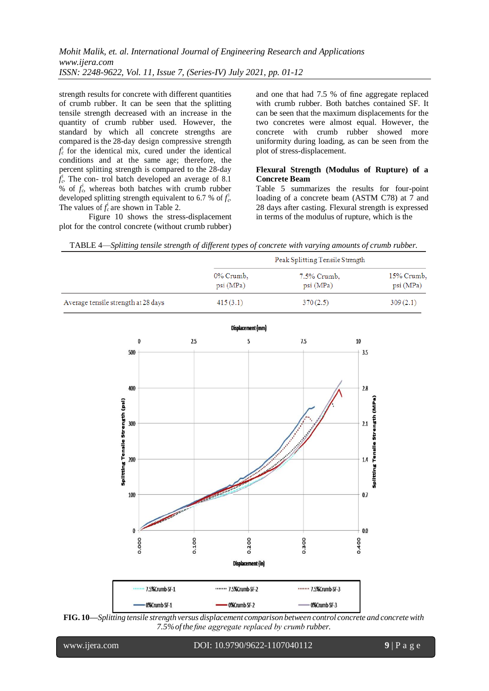strength results for concrete with different quantities of crumb rubber. It can be seen that the splitting tensile strength decreased with an increase in the quantity of crumb rubber used. However, the standard by which all concrete strengths are compared is the 28-day design compressive strength  $f_c^{\dagger}$  for the identical mix, cured under the identical conditions and at the same age; therefore, the percent splitting strength is compared to the 28-day *fc* 0 . The con- trol batch developed an average of 8.1 % of  $f_c^{\dagger}$ , whereas both batches with crumb rubber developed splitting strength equivalent to 6.7 % of  $f_c^{\dagger}$ . The values of  $f_c^{\dagger}$  are shown in Table 2.

Figure [10 s](#page-8-0)hows the stress-displacement plot for the control concrete (without crumb rubber)

and one that had 7.5 % of fine aggregate replaced with crumb rubber. Both batches contained SF. It can be seen that the maximum displacements for the two concretes were almost equal. However, the concrete with crumb rubber showed more uniformity during loading, as can be seen from the plot of stress-displacement.

# **Flexural Strength (Modulus of Rupture) of a Concrete Beam**

Table [5 s](#page-8-0)ummarizes the results for four-point loading of a concrete beam (ASTM [C78\)](http://www.astm.org/Standards/C78) at 7 and 28 days after casting. Flexural strength is expressed in terms of the modulus of rupture, which is the

TABLE 4—*Splitting tensile strength of different types of concrete with varying amounts of crumb rubber.*

|                                     |                       | Peak Splitting Tensile Strength |                         |
|-------------------------------------|-----------------------|---------------------------------|-------------------------|
|                                     | 0% Crumb,<br>psi(MPa) | 7.5% Crumb,<br>psi (MPa)        | 15% Crumb,<br>psi (MPa) |
| Average tensile strength at 28 days | 415(3.1)              | 370(2.5)                        | 309(2.1)                |



<span id="page-8-0"></span>

l

www.ijera.com DOI: 10.9790/9622-1107040112 **9** | P a g e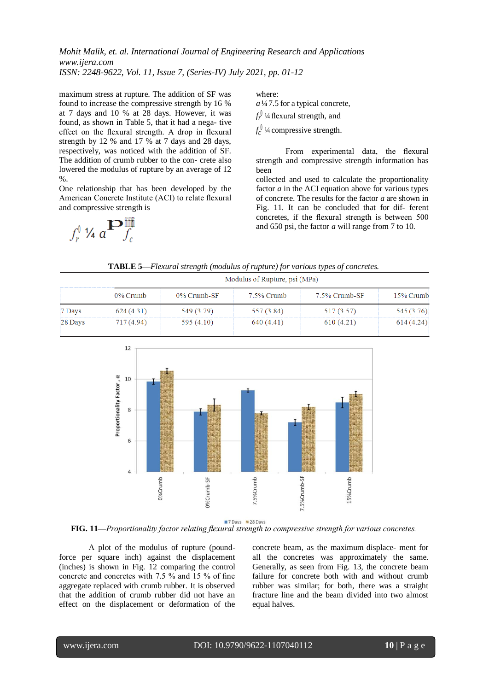maximum stress at rupture. The addition of SF was found to increase the compressive strength by 16 % at 7 days and 10 % at 28 days. However, it was found, as shown in Table [5,](#page-8-0) that it had a nega- tive effect on the flexural strength. A drop in flexural strength by 12 % and 17 % at 7 days and 28 days, respectively, was noticed with the addition of SF. The addition of crumb rubber to the con- crete also lowered the modulus of rupture by an average of 12  $\%$ 

One relationship that has been developed by the American Concrete Institute (ACI) to relate flexural and compressive strength is

 $f_r^{\{ \} }$  1/4  $a^{\mathbf{D}}$   $f_c^{\{ \} }$ 

where:

*a*¼7.5 for a typical concrete,  $f_r^{\parallel}$ <sup>1</sup>/4 flexural strength, and

 $f_c^{\text{U}}$ <sup>1</sup>/4 compressive strength.

From experimental data, the flexural strength and compressive strength information has been

collected and used to calculate the proportionality factor *a* in the ACI equation above for various types of concrete. The results for the factor *a* are shown in Fig. [11.](#page-9-0) It can be concluded that for dif- ferent concretes, if the flexural strength is between 500 and 650 psi, the factor *a* will range from 7 to 10.

**TABLE 5—***Flexural strength (modulus of rupture) for various types of concretes.*

|         |            | Modulus of Rupture, psi (MPa) |            |               |           |  |  |  |
|---------|------------|-------------------------------|------------|---------------|-----------|--|--|--|
|         | 0% Crumb   | 0% Crumb-SF                   | 7.5% Crumb | 7.5% Crumb-SF | 15% Crumb |  |  |  |
| 7 Days  | 624(4.31)  | 549 (3.79)                    | 557 (3.84) | 517 (3.57)    | 545(3.76) |  |  |  |
| 28 Days | 717 (4.94) | 595 $(4.10)$                  | 640 (4.41) | 610(4.21)     | 614(4.24) |  |  |  |



7 Days 28 Days

<span id="page-9-0"></span>**FIG. 11—***Proportionality factor relating flexural strength to compressive strength for various concretes.*

A plot of the modulus of rupture (poundforce per square inch) against the displacement (inches) is shown in Fig. [12 c](#page-9-1)omparing the control concrete and concretes with 7.5 % and 15 % of fine aggregate replaced with crumb rubber. It is observed that the addition of crumb rubber did not have an effect on the displacement or deformation of the

<span id="page-9-1"></span>concrete beam, as the maximum displace- ment for all the concretes was approximately the same. Generally, as seen from Fig. [13,](#page-10-0) the concrete beam failure for concrete both with and without crumb rubber was similar; for both, there was a straight fracture line and the beam divided into two almost equal halves.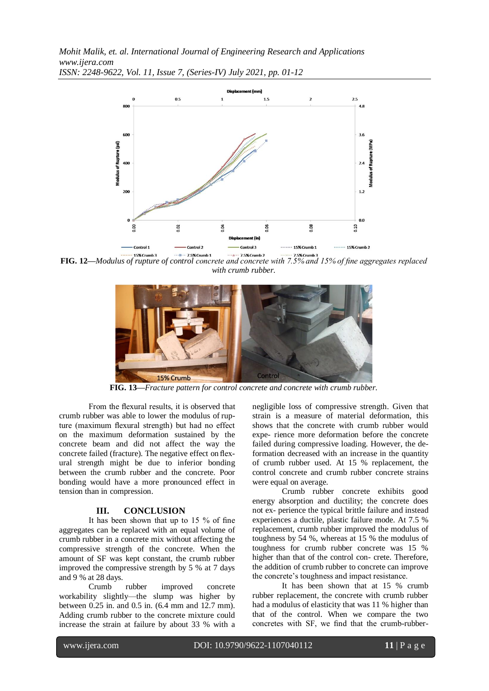

**FIG. 12—***Modulus of rupture of control concrete and concrete with 7.5% and 15% of fine aggregates replaced with crumb rubber.*



**FIG. 13—***Fracture pattern for control concrete and concrete with crumb rubber.*

<span id="page-10-0"></span>From the flexural results, it is observed that crumb rubber was able to lower the modulus of rupture (maximum flexural strength) but had no effect on the maximum deformation sustained by the concrete beam and did not affect the way the concrete failed (fracture). The negative effect on flexural strength might be due to inferior bonding between the crumb rubber and the concrete. Poor bonding would have a more pronounced effect in tension than in compression.

#### **III. CONCLUSION**

It has been shown that up to 15 % of fine aggregates can be replaced with an equal volume of crumb rubber in a concrete mix without affecting the compressive strength of the concrete. When the amount of SF was kept constant, the crumb rubber improved the compressive strength by 5 % at 7 days and 9 % at 28 days.

Crumb rubber improved concrete workability slightly—the slump was higher by between 0.25 in. and 0.5 in. (6.4 mm and 12.7 mm). Adding crumb rubber to the concrete mixture could increase the strain at failure by about 33 % with a

negligible loss of compressive strength. Given that strain is a measure of material deformation, this shows that the concrete with crumb rubber would expe- rience more deformation before the concrete failed during compressive loading. However, the deformation decreased with an increase in the quantity of crumb rubber used. At 15 % replacement, the control concrete and crumb rubber concrete strains were equal on average.

Crumb rubber concrete exhibits good energy absorption and ductility; the concrete does not ex- perience the typical brittle failure and instead experiences a ductile, plastic failure mode. At 7.5 % replacement, crumb rubber improved the modulus of toughness by 54 %, whereas at 15 % the modulus of toughness for crumb rubber concrete was 15 % higher than that of the control con- crete. Therefore, the addition of crumb rubber to concrete can improve the concrete's toughness and impact resistance.

It has been shown that at 15 % crumb rubber replacement, the concrete with crumb rubber had a modulus of elasticity that was 11 % higher than that of the control. When we compare the two concretes with SF, we find that the crumb-rubber-